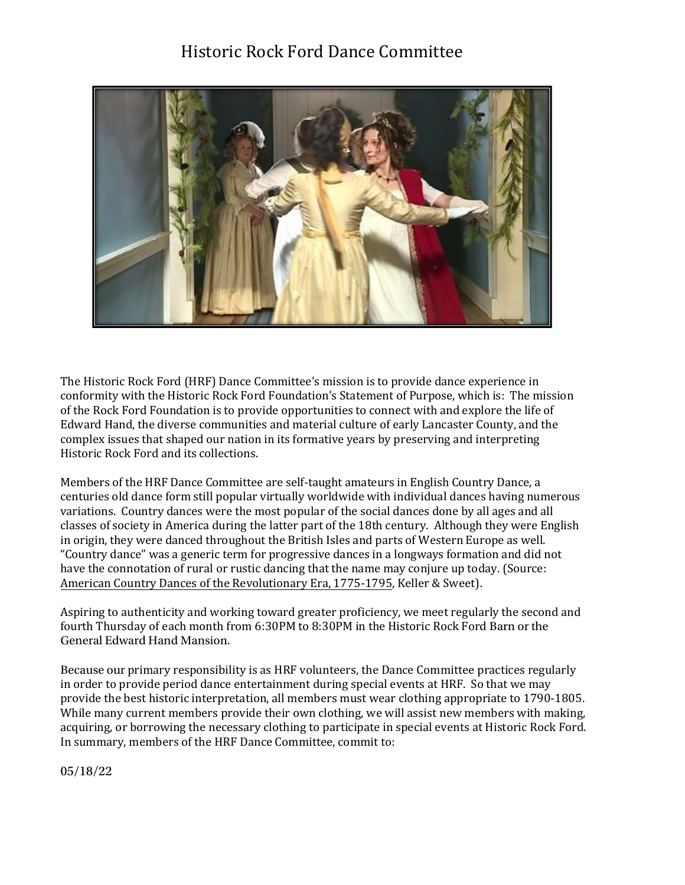## Historic Rock Ford Dance Committee



The Historic Rock Ford (HRF) Dance Committee's mission is to provide dance experience in conformity with the Historic Rock Ford Foundation's Statement of Purpose, which is: The mission of the Rock Ford Foundation is to provide opportunities to connect with and explore the life of Edward Hand, the diverse communities and material culture of early Lancaster County, and the complex issues that shaped our nation in its formative years by preserving and interpreting Historic Rock Ford and its collections.

Members of the HRF Dance Committee are self-taught amateurs in English Country Dance, a centuries old dance form still popular virtually worldwide with individual dances having numerous variations. Country dances were the most popular of the social dances done by all ages and all classes of society in America during the latter part of the 18th century. Although they were English in origin, they were danced throughout the British Isles and parts of Western Europe as well. "Country dance" was a generic term for progressive dances in a longways formation and did not have the connotation of rural or rustic dancing that the name may conjure up today. (Source: American Country Dances of the Revolutionary Era, 1775-1795, Keller & Sweet).

Aspiring to authenticity and working toward greater proficiency, we meet regularly the second and fourth Thursday of each month from 6:30PM to 8:30PM in the Historic Rock Ford Barn or the General Edward Hand Mansion.

Because our primary responsibility is as HRF volunteers, the Dance Committee practices regularly in order to provide period dance entertainment during special events at HRF. So that we may provide the best historic interpretation, all members must wear clothing appropriate to 1790-1805. While many current members provide their own clothing, we will assist new members with making, acquiring, or borrowing the necessary clothing to participate in special events at Historic Rock Ford. In summary, members of the HRF Dance Committee, commit to:

05/18/22